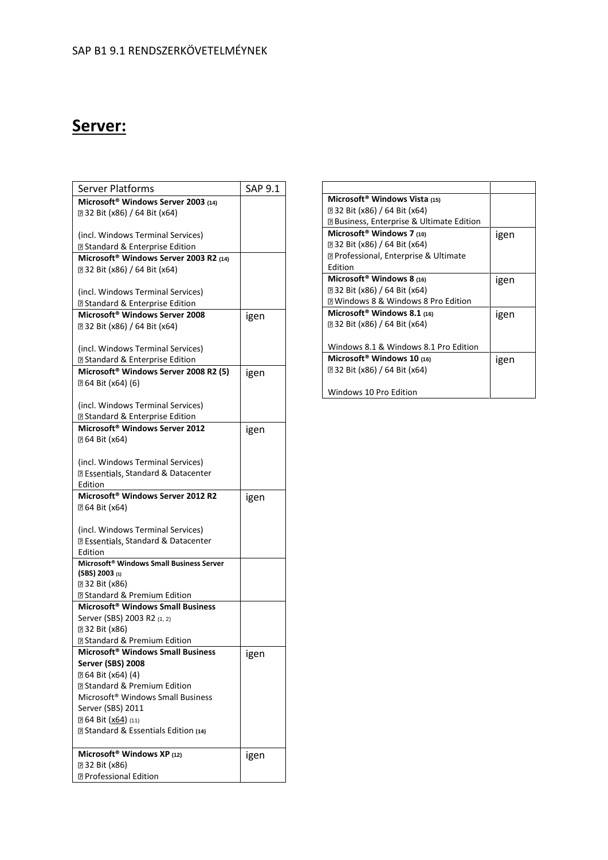## **Server:**

| <b>Server Platforms</b>                              | SAP 9.1 |
|------------------------------------------------------|---------|
| Microsoft <sup>®</sup> Windows Server 2003 (14)      |         |
| 232 Bit (x86) / 64 Bit (x64)                         |         |
|                                                      |         |
| (incl. Windows Terminal Services)                    |         |
| <b>D</b> Standard & Enterprise Edition               |         |
| Microsoft <sup>®</sup> Windows Server 2003 R2 (14)   |         |
| 232 Bit (x86) / 64 Bit (x64)                         |         |
|                                                      |         |
| (incl. Windows Terminal Services)                    |         |
| <b>D</b> Standard & Enterprise Edition               |         |
| Microsoft <sup>®</sup> Windows Server 2008           | igen    |
| 232 Bit (x86) / 64 Bit (x64)                         |         |
|                                                      |         |
| (incl. Windows Terminal Services)                    |         |
| <b>D</b> Standard & Enterprise Edition               |         |
| Microsoft <sup>®</sup> Windows Server 2008 R2 (5)    | igen    |
| <b><b>264 Bit (x64) (6)</b></b>                      |         |
|                                                      |         |
| (incl. Windows Terminal Services)                    |         |
| <b>D</b> Standard & Enterprise Edition               |         |
| Microsoft <sup>®</sup> Windows Server 2012           | igen    |
| 20 64 Bit (x64)                                      |         |
|                                                      |         |
| (incl. Windows Terminal Services)                    |         |
| <b>Z</b> Essentials, Standard & Datacenter           |         |
| Edition                                              |         |
| Microsoft <sup>®</sup> Windows Server 2012 R2        | igen    |
| 20 64 Bit (x64)                                      |         |
|                                                      |         |
| (incl. Windows Terminal Services)                    |         |
| <b>Z Essentials, Standard &amp; Datacenter</b>       |         |
| Edition                                              |         |
| Microsoft <sup>®</sup> Windows Small Business Server |         |
| $(SBS)$ 2003 (1)<br>232 Bit (x86)                    |         |
| <b>D</b> Standard & Premium Edition                  |         |
| Microsoft <sup>®</sup> Windows Small Business        |         |
| Server (SBS) 2003 R2 (1, 2)                          |         |
| <b>232 Bit (x86)</b>                                 |         |
| <b>D</b> Standard & Premium Edition                  |         |
| Microsoft <sup>®</sup> Windows Small Business        |         |
| Server (SBS) 2008                                    | igen    |
| [2] 64 Bit (x64) (4)                                 |         |
| <b>Z Standard &amp; Premium Edition</b>              |         |
| Microsoft <sup>®</sup> Windows Small Business        |         |
| Server (SBS) 2011                                    |         |
| <b>2 64 Bit (x64)</b> (11)                           |         |
| <b>Example 3 &amp; Essentials Edition (14)</b>       |         |
|                                                      |         |
| Microsoft <sup>®</sup> Windows XP (12)               | igen    |
| <b>232 Bit (x86)</b>                                 |         |
| <b>7</b> Professional Edition                        |         |

| Microsoft <sup>®</sup> Windows Vista (15)                     |      |
|---------------------------------------------------------------|------|
| 2 32 Bit (x86) / 64 Bit (x64)                                 |      |
| <b>□ Business, Enterprise &amp; Ultimate Edition</b>          |      |
| Microsoft <sup>®</sup> Windows 7 (10)                         | igen |
| 232 Bit (x86) / 64 Bit (x64)                                  |      |
| <b><b><u></u></b> Professional, Enterprise &amp; Ultimate</b> |      |
| Edition                                                       |      |
| Microsoft <sup>®</sup> Windows 8 (16)                         | igen |
| 2 32 Bit (x86) / 64 Bit (x64)                                 |      |
| <b>7 Windows 8 &amp; Windows 8 Pro Edition</b>                |      |
| Microsoft <sup>®</sup> Windows 8.1 (16)                       | igen |
| 2 32 Bit (x86) / 64 Bit (x64)                                 |      |
|                                                               |      |
| Windows 8.1 & Windows 8.1 Pro Edition                         |      |
| Microsoft <sup>®</sup> Windows 10 $(16)$                      | igen |
| 2 32 Bit (x86) / 64 Bit (x64)                                 |      |
|                                                               |      |
| Windows 10 Pro Edition                                        |      |